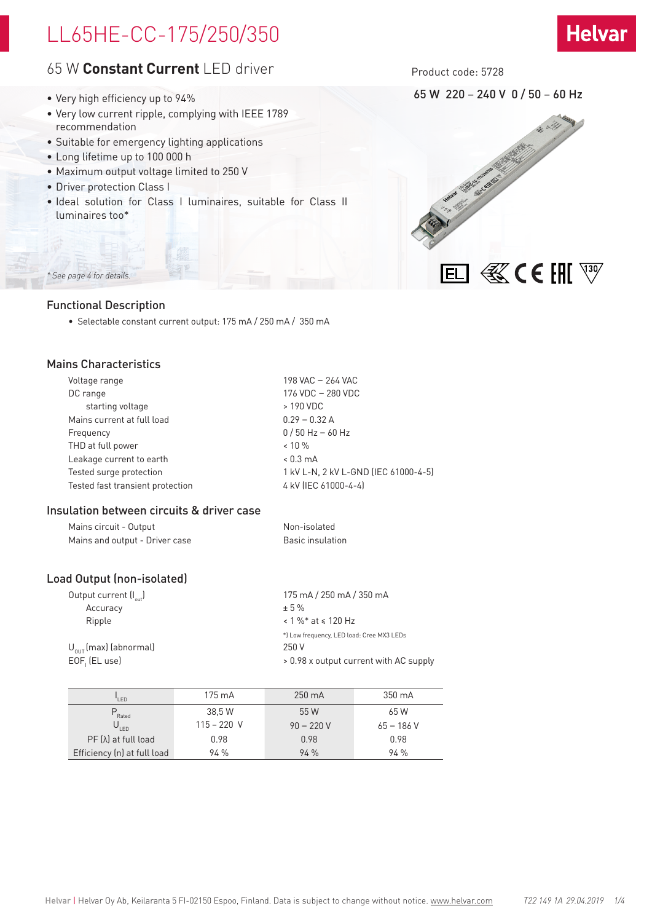# LL65HE-CC-175/250/350

# **Helvar**

# 65 W **Constant Current** LED driver

- Very high efficiency up to 94%
- Very low current ripple, complying with IEEE 1789 recommendation
- Suitable for emergency lighting applications
- Long lifetime up to 100 000 h
- Maximum output voltage limited to 250 V
- Driver protection Class I
- Ideal solution for Class I luminaires, suitable for Class II luminaires too\*

Product code: 5728

65 W 220 – 240 V 0 / 50 – 60 Hz



# Functional Description

*\* See page 4 for details.*

• Selectable constant current output: 175 mA / 250 mA / 350 mA

# Mains Characteristics

| Voltage range                    | 198 VAC - 264 VAC                    |
|----------------------------------|--------------------------------------|
| DC range                         | 176 VDC - 280 VDC                    |
| starting voltage                 | > 190 VDC                            |
| Mains current at full load       | $0.29 - 0.32 A$                      |
| Frequency                        | $0/50$ Hz $-60$ Hz                   |
| THD at full power                | $< 10 \%$                            |
| Leakage current to earth         | $< 0.3$ mA                           |
| Tested surge protection          | 1 kV L-N, 2 kV L-GND (IEC 61000-4-5) |
| Tested fast transient protection | 4 kV (IEC 61000-4-4)                 |

## Insulation between circuits & driver case

| Mains circuit - Output         | Non-isolated     |
|--------------------------------|------------------|
| Mains and output - Driver case | Basic insulation |

## Load Output (non-isolated)

| Output current $\left(I_{out}\right)$ | 175 mA / 250 mA / 350 mA                  |
|---------------------------------------|-------------------------------------------|
| Accuracy                              | $+5%$                                     |
| Ripple                                | $< 1 \%$ * at $\le 120$ Hz                |
|                                       | *) Low frequency, LED load: Cree MX3 LEDs |
| $U_{\text{out}}$ (max) (abnormal)     | 250 V                                     |
| EOF (EL use)                          | > 0.98 x output current with AC supply    |
|                                       |                                           |

| I FD                        | 175 mA        | $250 \text{ mA}$ | 350 mA      |
|-----------------------------|---------------|------------------|-------------|
| Rated                       | 38.5 W        | 55 W             | 65 W        |
| $U_{LED}$                   | $115 - 220$ V | $90 - 220V$      | $65 - 186V$ |
| $PF(\lambda)$ at full load  | 0.98          | 0.98             | 0.98        |
| Efficiency (n) at full load | 94%           | 94%              | 94%         |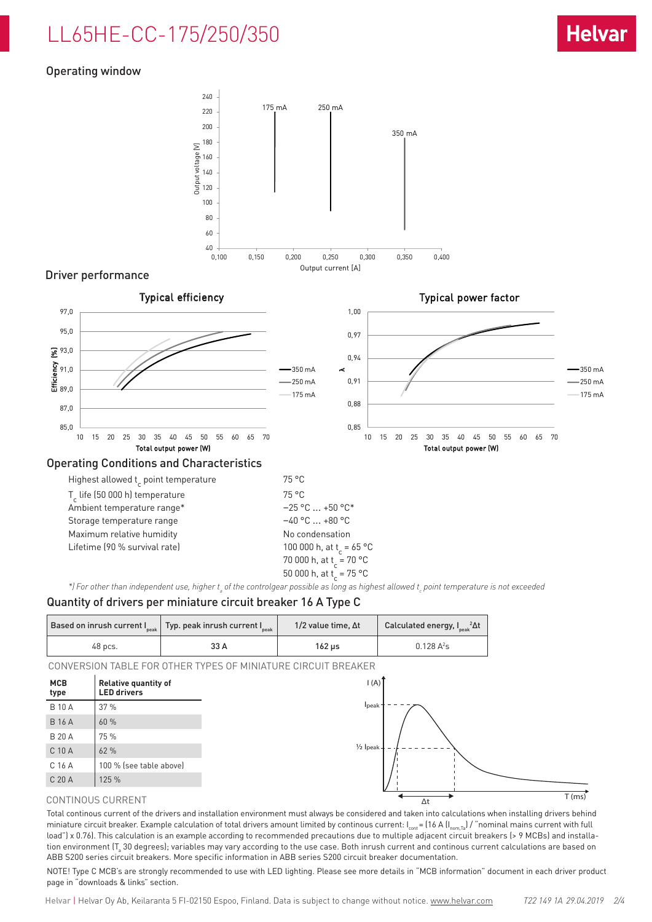# LL65HE-CC-175/250/350

# Operating window



## Driver performance



$$
100\,000\,h_{\text{at}}
$$

$$
\begin{array}{c} \n70\ 000\ \text{h, at}\ \text{t}_{\text{c}} = 70\ \text{°C} \\ \n50\ 000\ \text{h, at}\ \text{t}_{\text{c}} = 75\ \text{°C} \n\end{array}
$$

\*) For other than independent use, higher t<sub>a</sub> of the controlgear possible as long as highest allowed t<sub>c</sub> point temperature is not exceeded

## Quantity of drivers per miniature circuit breaker 16 A Type C

|         | Based on inrush current $I_{\text{peak}}$ Typ. peak inrush current $I_{\text{peak}}$ | 1/2 value time. $\Delta t$ | Calculated energy, $I_{\text{peak}}^2 \Delta t$ |
|---------|--------------------------------------------------------------------------------------|----------------------------|-------------------------------------------------|
| 48 pcs. | 33 A                                                                                 | 162 us                     | $0.128 A^2s$                                    |

CONVERSION TABLE FOR OTHER TYPES OF MINIATURE CIRCUIT BREAKER



### CONTINOUS CURRENT

Total continous current of the drivers and installation environment must always be considered and taken into calculations when installing drivers behind miniature circuit breaker. Example calculation of total drivers amount limited by continous current:  $I_{\text{cont}} = (16 \text{ A} (I_{\text{nom,Ta}}) / \text{``nominal mains current with full})$ load") x 0.76). This calculation is an example according to recommended precautions due to multiple adjacent circuit breakers (> 9 MCBs) and installation environment (T $_{\rm s}$  30 degrees); variables may vary according to the use case. Both inrush current and continous current calculations are based on ABB S200 series circuit breakers. More specific information in ABB series S200 circuit breaker documentation.

NOTE! Type C MCB's are strongly recommended to use with LED lighting. Please see more details in "MCB information" document in each driver product page in "downloads & links" section.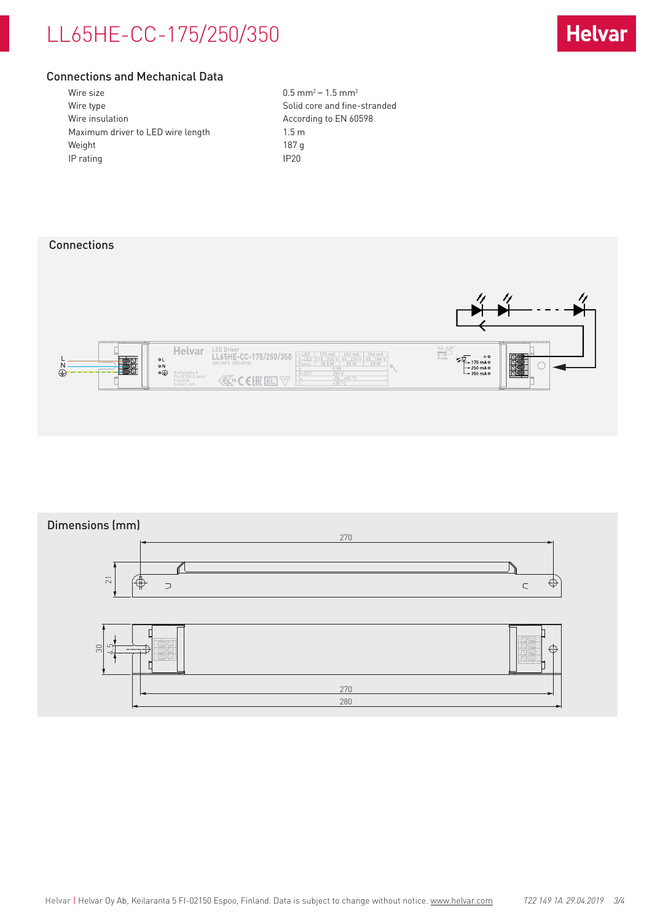# LL65HE-CC-175/250/350



## Connections and Mechanical Data

| Wire size                         | 0.5 <sub>m</sub> |
|-----------------------------------|------------------|
| Wire type                         | Solid            |
| Wire insulation                   | Accor            |
| Maximum driver to LED wire length | $1.5 \text{ m}$  |
| Weight                            | 187 q            |
| IP rating                         | IP20             |
|                                   |                  |

 $0.5$  mm<sup>2</sup> – 1.5 mm<sup>2</sup> Solid core and fine-stranded According to EN 60598

# **Connections**



# Dimensions (mm) 270  $\mathscr{C}$ 51 ⊕  $\supset$ €  $\subset$ € 30 4.5 270

280